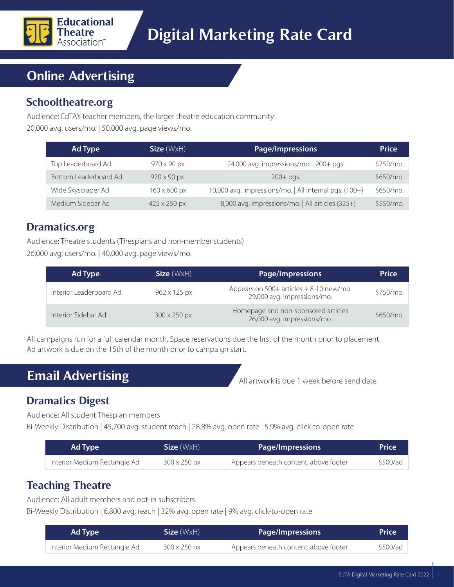

# **Online Advertising**

## **Schooltheatre.org**

Audience: EdTA's teacher members, the larger theatre education community

20,000 avg. users/mo. | 50,000 avg. page views/mo.

| Ad Type               | Size (WxH)                 | <b>Page/Impressions</b>                                | <b>Price</b> |
|-----------------------|----------------------------|--------------------------------------------------------|--------------|
| Top Leaderboard Ad    | $970 \times 90 \text{ px}$ | 24,000 avg. impressions/mo.   200+ pgs.                | \$750/mo.    |
| Bottom Leaderboard Ad | $970 \times 90 \text{ px}$ | $200+$ pgs.                                            | \$650/mo.    |
| Wide Skyscraper Ad    | $160 \times 600$ px        | 10,000 avg. impressions/mo.   All internal pgs. (100+) | \$650/mo.    |
| Medium Sidebar Ad     | 425 x 250 px               | 8,000 avg. impressions/mo.   All articles (325+)       | \$550/mo.    |

## **Dramatics.org**

Audience: Theatre students (Thespians and non-member students) 26,000 avg. users/mo. | 40,000 avg. page views/mo.

| Ad Type                 | $Size (W \times H)$ | <b>Page/Impressions</b>                                                   | <b>Price</b> |
|-------------------------|---------------------|---------------------------------------------------------------------------|--------------|
| Interior Leaderboard Ad | 962 x 125 px        | Appears on $500+$ articles $+8-10$ new/mo.<br>29,000 avg. impressions/mo. | \$750/mo.    |
| Interior Sidebar Ad     | $300 \times 250$ px | Homepage and non-sponsored articles<br>26,000 avg. impressions/mo.        | $$650/mo$ .  |

All campaigns run for a full calendar month. Space reservations due the first of the month prior to placement. Ad artwork is due on the 15th of the month prior to campaign start.

# **Email Advertising**

All artwork is due 1 week before send date.

# **Dramatics Digest**

Audience: All student Thespian members

Bi-Weekly Distribution | 45,700 avg. student reach | 28.8% avg. open rate | 5.9% avg. click-to-open rate

| Ad Type                      | Size (WxH)          | Page/Impressions                      | <b>Price</b> |
|------------------------------|---------------------|---------------------------------------|--------------|
| Interior Medium Rectangle Ad | $300 \times 250$ px | Appears beneath content, above footer | \$500/ad     |

## **Teaching Theatre**

Audience: All adult members and opt-in subscribers

Bi-Weekly Distribution | 6,800 avg. reach | 32% avg. open rate | 9% avg. click-to-open rate

| Ad Type                      | Size(WxH)           | <b>Page/Impressions</b>               | <b>Price</b> |
|------------------------------|---------------------|---------------------------------------|--------------|
| Interior Medium Rectangle Ad | $300 \times 250$ px | Appears beneath content, above footer | \$500/ad     |